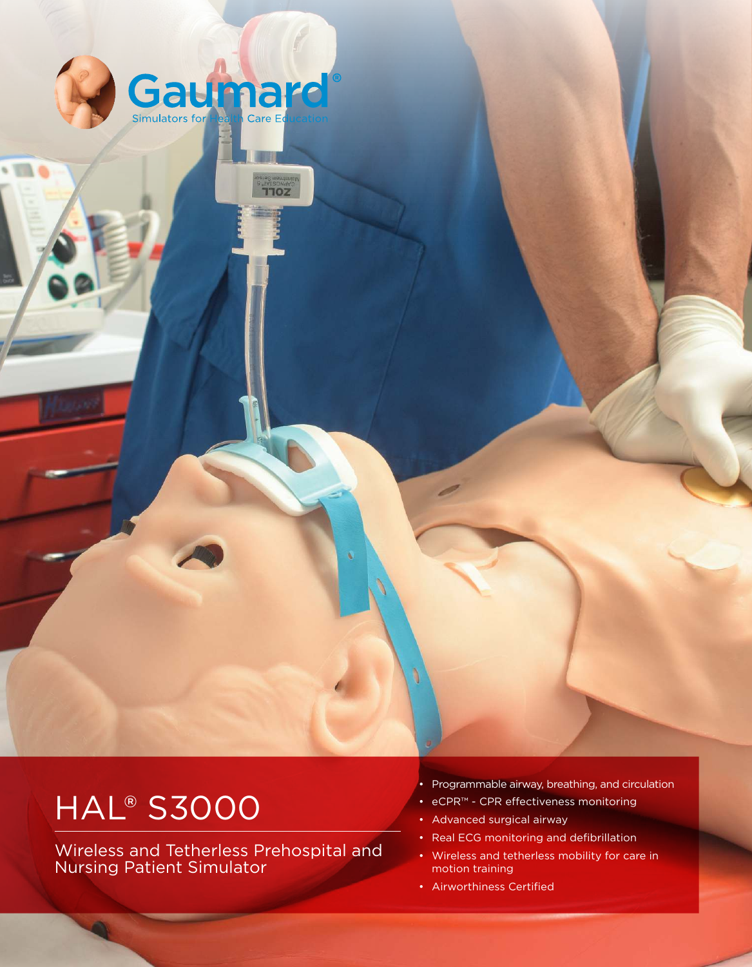

**THOZ** 

# **HAL® S3000**

Wireless and Tetherless Prehospital and Nursing Patient Simulator

• Programmable airway, breathing, and circulation

- eCPR™ CPR efectiveness monitoring
- Advanced surgical airway
- Real ECG monitoring and defibrillation
- Wireless and tetherless mobility for care in motion training
- Airworthiness Certified

VISIT US ONLINE AT WAIT US ONLINE AT WAIT US ONLINE AT WAIT US ONLINE AT WAIT US ONLY 1990 AT WAIT US ON A 1990

٦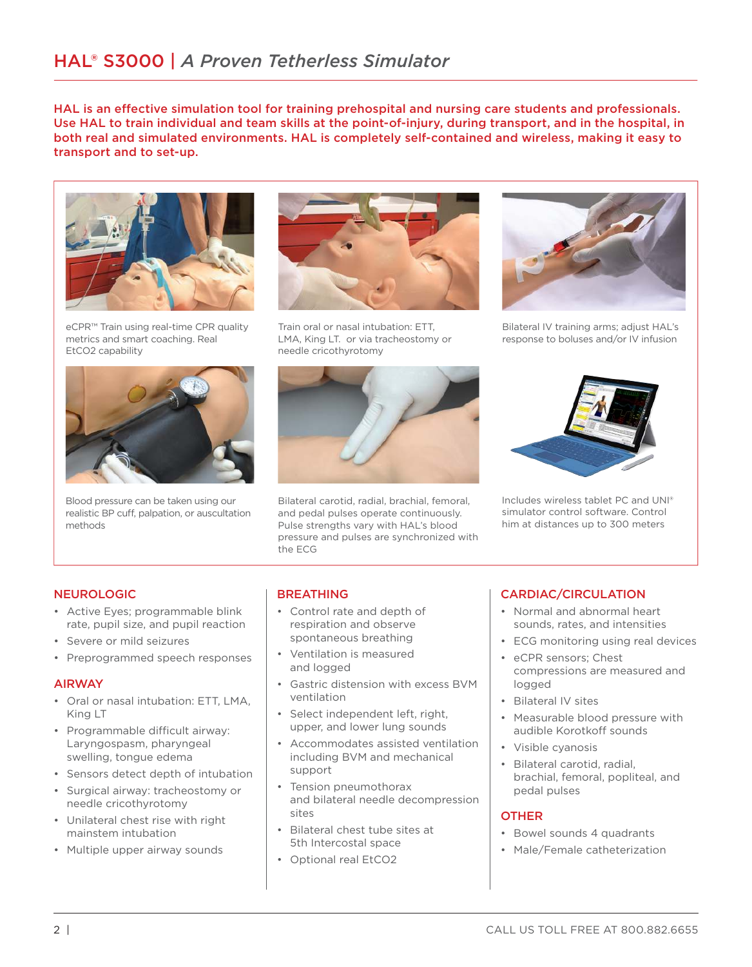HAL is an efective simulation tool for training prehospital and nursing care students and professionals. Use HAL to train individual and team skills at the point-of-injury, during transport, and in the hospital, in both real and simulated environments. HAL is completely self-contained and wireless, making it easy to transport and to set-up.



eCPR™ Train using real-time CPR quality metrics and smart coaching. Real EtCO2 capability



Blood pressure can be taken using our realistic BP cuff, palpation, or auscultation methods



Train oral or nasal intubation: ETT, LMA, King LT. or via tracheostomy or needle cricothyrotomy



Bilateral carotid, radial, brachial, femoral, and pedal pulses operate continuously. Pulse strengths vary with HAL's blood pressure and pulses are synchronized with the ECG



Bilateral IV training arms; adjust HAL's response to boluses and/or IV infusion



Includes wireless tablet PC and UNI® simulator control software. Control him at distances up to 300 meters

# NEUROLOGIC

- Active Eyes; programmable blink rate, pupil size, and pupil reaction
- Severe or mild seizures
- Preprogrammed speech responses

## AIRWAY

- Oral or nasal intubation: ETT, LMA, King LT
- Programmable difficult airway: Laryngospasm, pharyngeal swelling, tongue edema
- Sensors detect depth of intubation
- Surgical airway: tracheostomy or needle cricothyrotomy • Unilateral chest rise with right
- mainstem intubation
- Multiple upper airway sounds

# **BREATHING**

- Control rate and depth of respiration and observe spontaneous breathing
- Ventilation is measured and logged
- Gastric distension with excess BVM ventilation
- Select independent left, right, upper, and lower lung sounds
- Accommodates assisted ventilation including BVM and mechanical support
- Tension pneumothorax and bilateral needle decompression sites
- Bilateral chest tube sites at 5th Intercostal space
- Optional real EtCO2

# CARDIAC/CIRCULATION

- Normal and abnormal heart sounds, rates, and intensities
- ECG monitoring using real devices
- eCPR sensors; Chest compressions are measured and logged
- Bilateral IV sites
- Measurable blood pressure with audible Korotkoff sounds
- Visible cyanosis
- Bilateral carotid, radial, brachial, femoral, popliteal, and pedal pulses

# **OTHER**

- Bowel sounds 4 quadrants
- Male/Female catheterization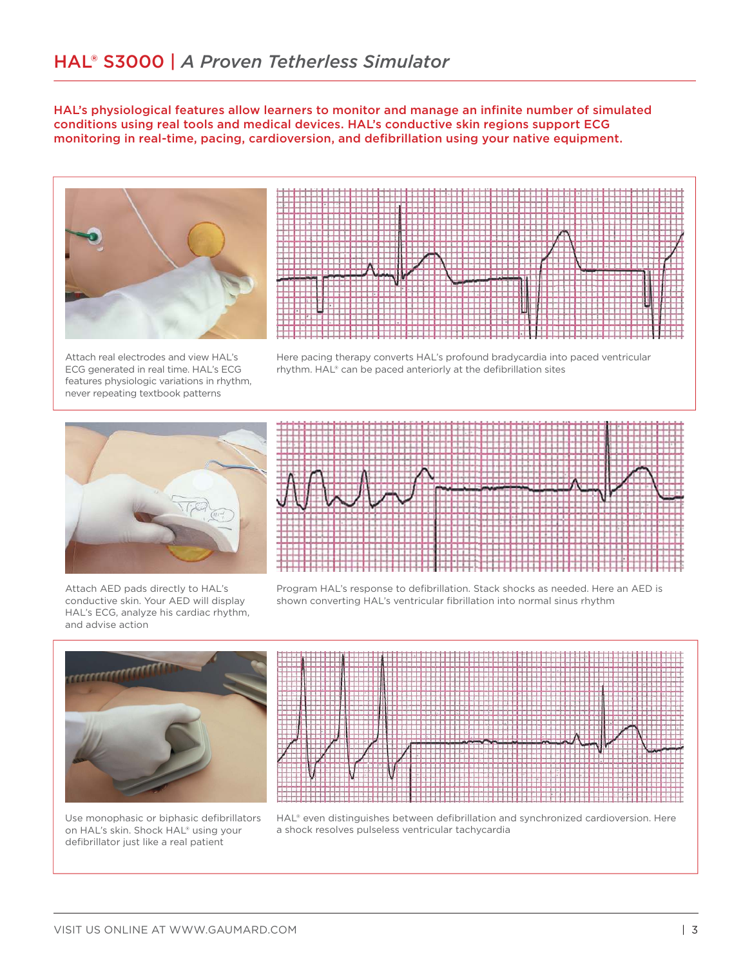HAL's physiological features allow learners to monitor and manage an infinite number of simulated conditions using real tools and medical devices. HAL's conductive skin regions support ECG monitoring in real-time, pacing, cardioversion, and deibrillation using your native equipment.





Attach real electrodes and view HAL's ECG generated in real time. HAL's ECG features physiologic variations in rhythm, never repeating textbook patterns

Here pacing therapy converts HAL's profound bradycardia into paced ventricular rhythm. HAL® can be paced anteriorly at the defibrillation sites



Attach AED pads directly to HAL's conductive skin. Your AED will display HAL's ECG, analyze his cardiac rhythm, and advise action



Program HAL's response to deibrillation. Stack shocks as needed. Here an AED is shown converting HAL's ventricular fibrillation into normal sinus rhythm



Use monophasic or biphasic defibrillators on HAL's skin. Shock HAL® using your defibrillator just like a real patient

HAL® even distinguishes between defibrillation and synchronized cardioversion. Here a shock resolves pulseless ventricular tachycardia